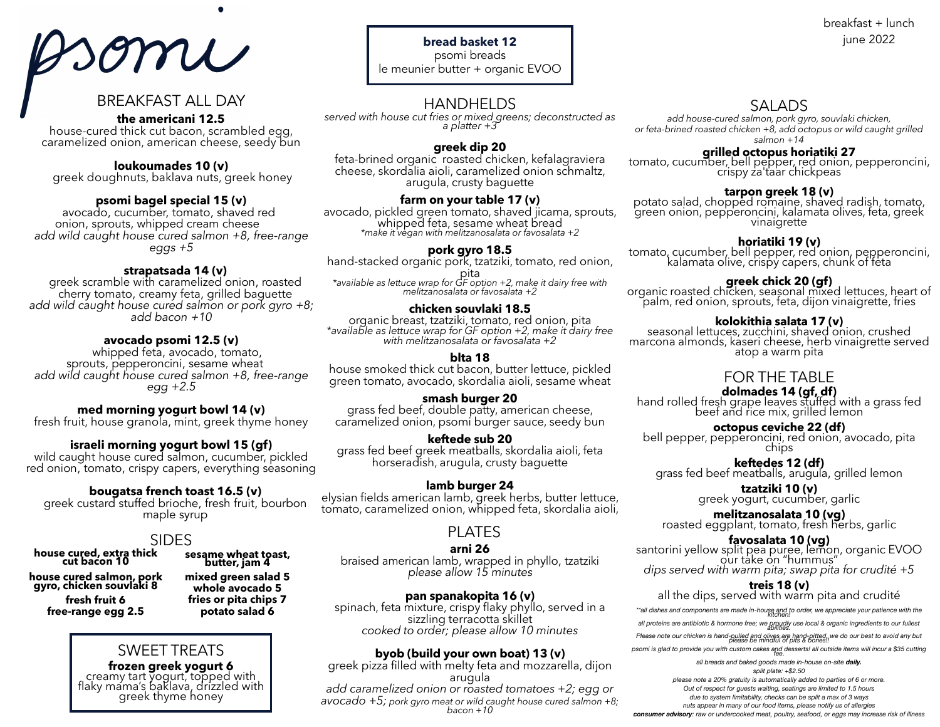# somi

# BREAKFAST ALL DAY

### **the americani 12.5**

house-cured thick cut bacon, scrambled egg, caramelized onion, american cheese, seedy bun

**loukoumades 10 (v)**

greek doughnuts, baklava nuts, greek honey

**psomi bagel special 15 (v)**<br>avocado, cucumber, tomato, shaved red<br>onion, sprouts, whipped cream cheese add wild caught house cured salmon +8, free-range *eggs +5*

**strapatsada 14 (v)**<br>greek scramble with caramelized onion, roasted<br>cherry tomato, creamy feta, grilled baguette add wild caught house cured salmon or pork gyro +8;<br>add bacon +10

**avocado psomi 12.5 (v)**<br>whipped feta, avocado, tomato,<br>sprouts, pepperoncini, sesame wheat<br>*add wild caught house cured salmon +8, free-range egg +2.5*

**med morning yogurt bowl 14 (v)**<br>fresh fruit, house granola, mint, greek thyme honey

**israeli morning yogurt bowl 15 (gf)** wild caught house cured salmon, cucumber, pickled red onion, tomato, crispy capers, everything seasoning

**bougatsa french toast 16.5 (v)** greek custard stuffed brioche, fresh fruit, bourbon maple syrup

# SIDES

**house cured, extra thick cut bacon 10**

**house cured salmon, pork gyro, chicken souvlaki 8 fresh fruit 6 free-range egg 2.5**

# **sesame wheat toast, butter, jam 4 mixed green salad 5 whole avocado 5**

**fries or pita chips 7 potato salad 6**

# SWEET TREATS

**frozen greek yogurt 6**<br>creamy tart yogurt, topped with flaky mama's baklava, drizzled with greek thyme honey

# **bread basket 12**

psomi breads le meunier butter + organic EVOO

# HANDHELDS

*served with house cut fries or mixed greens; deconstructed as a platter +3*

### **greek dip 20**

feta-brined organic roasted chicken, kefalagraviera cheese, skordalia aioli, caramelized onion schmaltz, arugula, crusty baguette

**farm on your table 17 (v)**<br>avocado, pickled green tomato, shaved jicama, sprouts,<br>whipped feta, sesame wheat bread<br>*\*make it vegan with melitzanosalata or favosalata +2* 

**pork gyro 18.5**<br>hand-stacked organic pork, tzatziki, tomato, red onion,

pita *\*available as lettuce wrap for GF option +2, make it dairy free with melitzanosalata or favosalata +2*

**chicken souvlaki 18.5**<br>organic breast, tzatziki, tomato, red onion, pita \*available as lettuce wrap for GF option +2, make it dairy free with melitzanosalata or favosalata +2

### **blta 18**

house smoked thick cut bacon, butter lettuce, pickled green tomato, avocado, skordalia aioli, sesame wheat

**smash burger 20**<br>grass fed beef, double patty, american cheese, caramelized onion, psomi burger sauce, seedy bun

### **keftede sub 20**

grass fed beef greek meatballs, skordalia aioli, feta horseradish, arugula, crusty baguette

**lamb burger 24**<br>elysian fields american lamb, greek herbs, butter lettuce, tomato, caramelized onion, whipped feta, skordalia aioli,

# PLATES

**arni 26** braised american lamb, wrapped in phyllo, tzatziki *please allow 15 minutes*

**pan spanakopita 16 (v)**<br>spinach, feta mixture, crispy flaky phyllo, served in a<br>sizzling terracotta skillet<br>*cooked to order; please allow 10 minutes* 

**byob (build your own boat) 13 (v)**<br>greek pizza filled with melty feta and mozzarella, dijon<br>arugula<br>add caramelized onion or roasted tomatoes +2; egg or *avocado +5; pork gyro meat or wild caught house cured salmon +8; bacon +10*

# SALADS

*add house-cured salmon, pork gyro, souvlaki chicken, or feta-brined roasted chicken +8, add octopus or wild caught grilled salmon +14*

# **grilled octopus horiatiki 27**

tomato, cucumber, bell pepper, red onion, pepperoncini,<br>crispy za'taar chickpeas

**tarpon greek 18 (v)**<br>potato salad, chopped romaine, shaved radish, tomato, 'green onion, pep'p'eroncini, kalamata olives, feta, greek<br>vinaigrette

**horiatiki 19 (v)**<br>tomato, cucumber, bell pepper, red onion, pepperoncini,<br>kalamata olive, crispy capers, chunk of feta

**greek chick 20 (gf)**<br>organic roasted chicken, seasonal mixed lettuces, heart of<br>palm, red onion, sprouts, feta, dijon vinaigrette, fries

**kolokithia salata 17 (v)**<br>seasonal lettuces, zucchini, shaved onion, crushed<br>marcona almonds, kaseri cheese, herb vinaigrette served<br>atop a warm pita

# FOR THE TABLE

**dolmades 14 (gf, df)**<br>hand rolled fresh grape leaves stuffed with a grass fed<br>beef and rice mix, grilled lemon

**octopus ceviche 22 (df)**<br>bell pepper, pepperoncini, red onion, avocado, pita<br>chips

**keftedes 12 (df)**<br>grass fed beef meatballs, arugula, grilled lemon

**tzatziki 10 (v)** greek yogurt, cucumber, garlic

**melitzanosalata 10 (vg)**<br>roasted eggplant, tomato, fresh herbs, garlic

**favosalata 10 (vg)**<br>santorini yellow split pea puree, lemon, organic EVOO<br>our take on "hummus" *dips served with warm pita; swap pita for crudité +5*

**treis 18 (v)** all the dips, served with warm pita and crudité

\*\*all dishes and components are made in-house and to order, we appreciate your patience with the

*all proteins are antibiotic & hormone free; we proudly use local & organic ingredients to our fullest abilities.* 

*Please note our chicken is hand-pulled and olives are hand-pitted, we do our best to avoid any but please be mindful of pits & bones!!* 

psomi is glad to provide you with custom cakes and desserts! all outside items will incur a \$35 cutting

*all breads and baked goods made in-house on-site daily. split plate: +\$2.50 please note a 20% gratuity is automatically added to parties of 6 or more. Out of respect for guests waiting, seatings are limited to 1.5 hours due to system limitability, checks can be split a max of 3 ways nuts appear in many of our food items, please notify us of allergies* 

*consumer advisory: raw or undercooked meat, poultry, seafood, or eggs may increase risk of illness* 

# breakfast + lunch june 2022